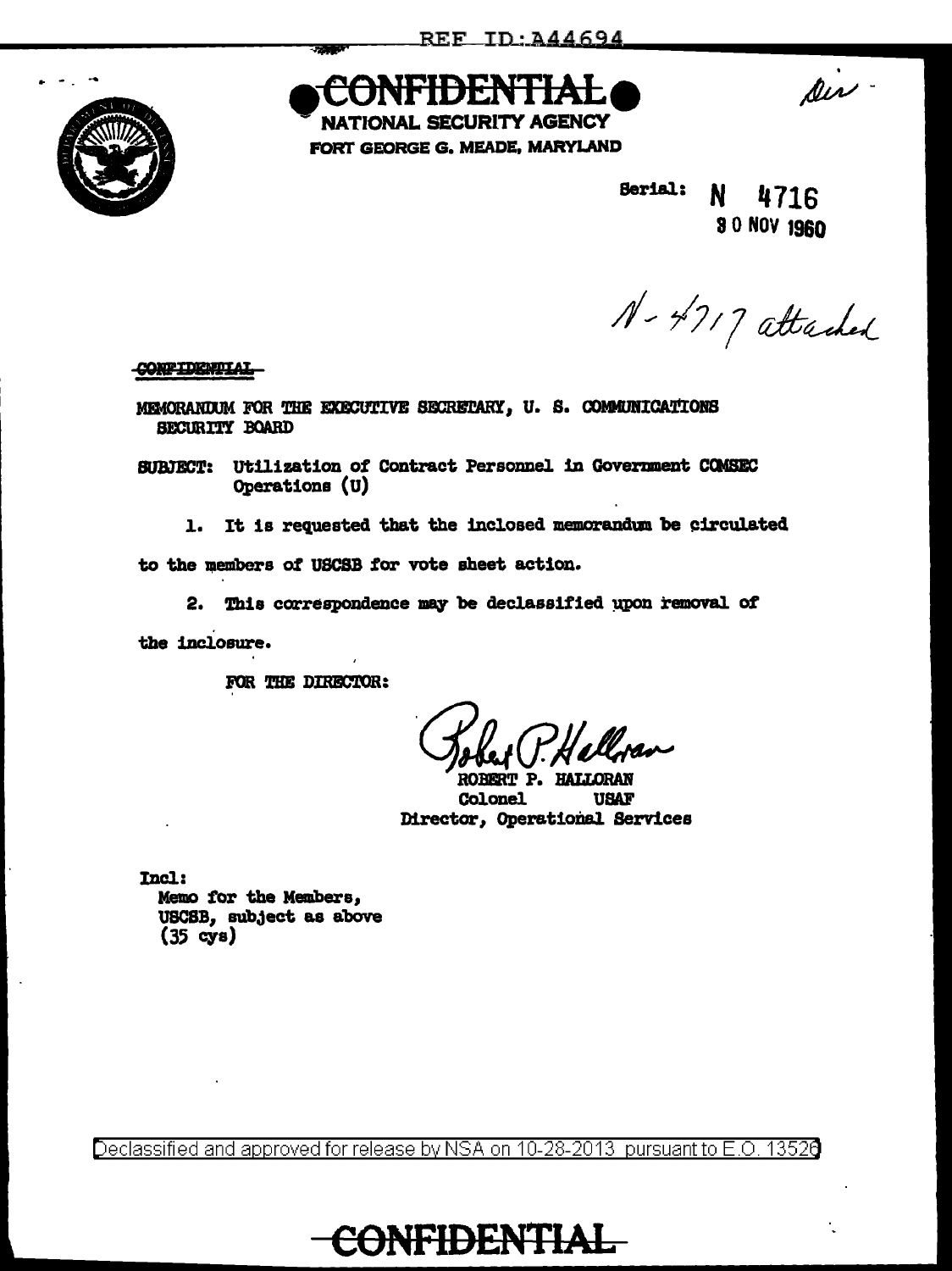

htididini i A **SECURITY AGENCY** 

FORT GEORGE G. MEADE, MARYLAND

Din-

**Berial:** N 4716 80 NOV 1960

N-4717 attached

**CONFIDENTIAL** 

MEMORANDUM FOR THE EXECUTIVE SECRETARY, U. S. COMMUNICATIONS SECURITY BOARD

SUBJECT: Utilization of Contract Personnel in Government COMSEC Operations (U)

1. It is requested that the inclosed memorandum be circulated

to the members of USCSB for vote sheet action.

2. This correspondence may be declassified upon removal of

the inclosure.

FOR THE DIRECTOR:

ROBERT P. HALLORAN **USAF Colonel** Director, Operational Services

Incl: Memo for the Members, USCSB, subject as above  $(35 \text{ cys})$ 

Declassified and approved for release by NSA on 10-28-2013 pursuant to E.O. 13520

CONFIDENTIAL